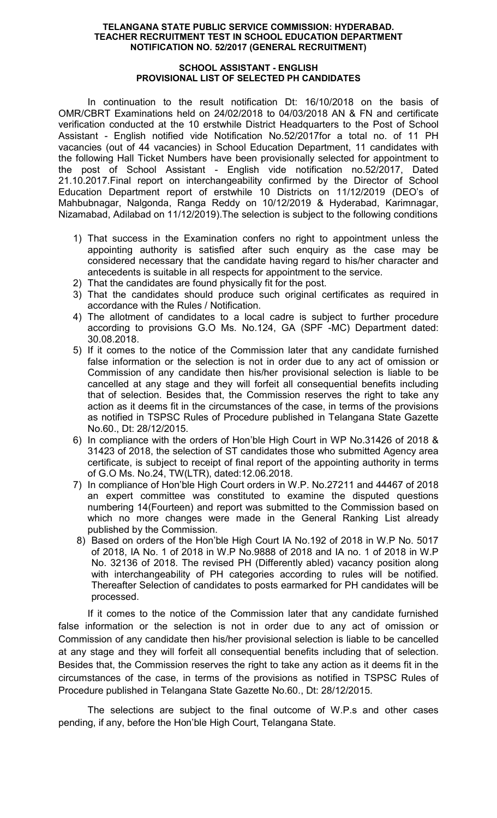### TELANGANA STATE PUBLIC SERVICE COMMISSION: HYDERABAD. TEACHER RECRUITMENT TEST IN SCHOOL EDUCATION DEPARTMENT NOTIFICATION NO. 52/2017 (GENERAL RECRUITMENT)

### SCHOOL ASSISTANT - ENGLISH PROVISIONAL LIST OF SELECTED PH CANDIDATES

In continuation to the result notification Dt: 16/10/2018 on the basis of OMR/CBRT Examinations held on 24/02/2018 to 04/03/2018 AN & FN and certificate verification conducted at the 10 erstwhile District Headquarters to the Post of School Assistant - English notified vide Notification No.52/2017for a total no. of 11 PH vacancies (out of 44 vacancies) in School Education Department, 11 candidates with the following Hall Ticket Numbers have been provisionally selected for appointment to the post of School Assistant - English vide notification no.52/2017, Dated 21.10.2017.Final report on interchangeability confirmed by the Director of School Education Department report of erstwhile 10 Districts on 11/12/2019 (DEO's of Mahbubnagar, Nalgonda, Ranga Reddy on 10/12/2019 & Hyderabad, Karimnagar, Nizamabad, Adilabad on 11/12/2019).The selection is subject to the following conditions

- 1) That success in the Examination confers no right to appointment unless the appointing authority is satisfied after such enquiry as the case may be considered necessary that the candidate having regard to his/her character and antecedents is suitable in all respects for appointment to the service.
- 2) That the candidates are found physically fit for the post.
- 3) That the candidates should produce such original certificates as required in accordance with the Rules / Notification.
- 4) The allotment of candidates to a local cadre is subject to further procedure according to provisions G.O Ms. No.124, GA (SPF -MC) Department dated: 30.08.2018.
- 5) If it comes to the notice of the Commission later that any candidate furnished false information or the selection is not in order due to any act of omission or Commission of any candidate then his/her provisional selection is liable to be cancelled at any stage and they will forfeit all consequential benefits including that of selection. Besides that, the Commission reserves the right to take any action as it deems fit in the circumstances of the case, in terms of the provisions as notified in TSPSC Rules of Procedure published in Telangana State Gazette No.60., Dt: 28/12/2015.
- 6) In compliance with the orders of Hon'ble High Court in WP No.31426 of 2018 & 31423 of 2018, the selection of ST candidates those who submitted Agency area certificate, is subject to receipt of final report of the appointing authority in terms of G.O Ms. No.24, TW(LTR), dated:12.06.2018.
- 7) In compliance of Hon'ble High Court orders in W.P. No.27211 and 44467 of 2018 an expert committee was constituted to examine the disputed questions numbering 14(Fourteen) and report was submitted to the Commission based on which no more changes were made in the General Ranking List already published by the Commission.
- 8) Based on orders of the Hon'ble High Court IA No.192 of 2018 in W.P No. 5017 of 2018, IA No. 1 of 2018 in W.P No.9888 of 2018 and IA no. 1 of 2018 in W.P No. 32136 of 2018. The revised PH (Differently abled) vacancy position along with interchangeability of PH categories according to rules will be notified. Thereafter Selection of candidates to posts earmarked for PH candidates will be processed.

If it comes to the notice of the Commission later that any candidate furnished false information or the selection is not in order due to any act of omission or Commission of any candidate then his/her provisional selection is liable to be cancelled at any stage and they will forfeit all consequential benefits including that of selection. Besides that, the Commission reserves the right to take any action as it deems fit in the circumstances of the case, in terms of the provisions as notified in TSPSC Rules of Procedure published in Telangana State Gazette No.60., Dt: 28/12/2015.

 The selections are subject to the final outcome of W.P.s and other cases pending, if any, before the Hon'ble High Court, Telangana State.